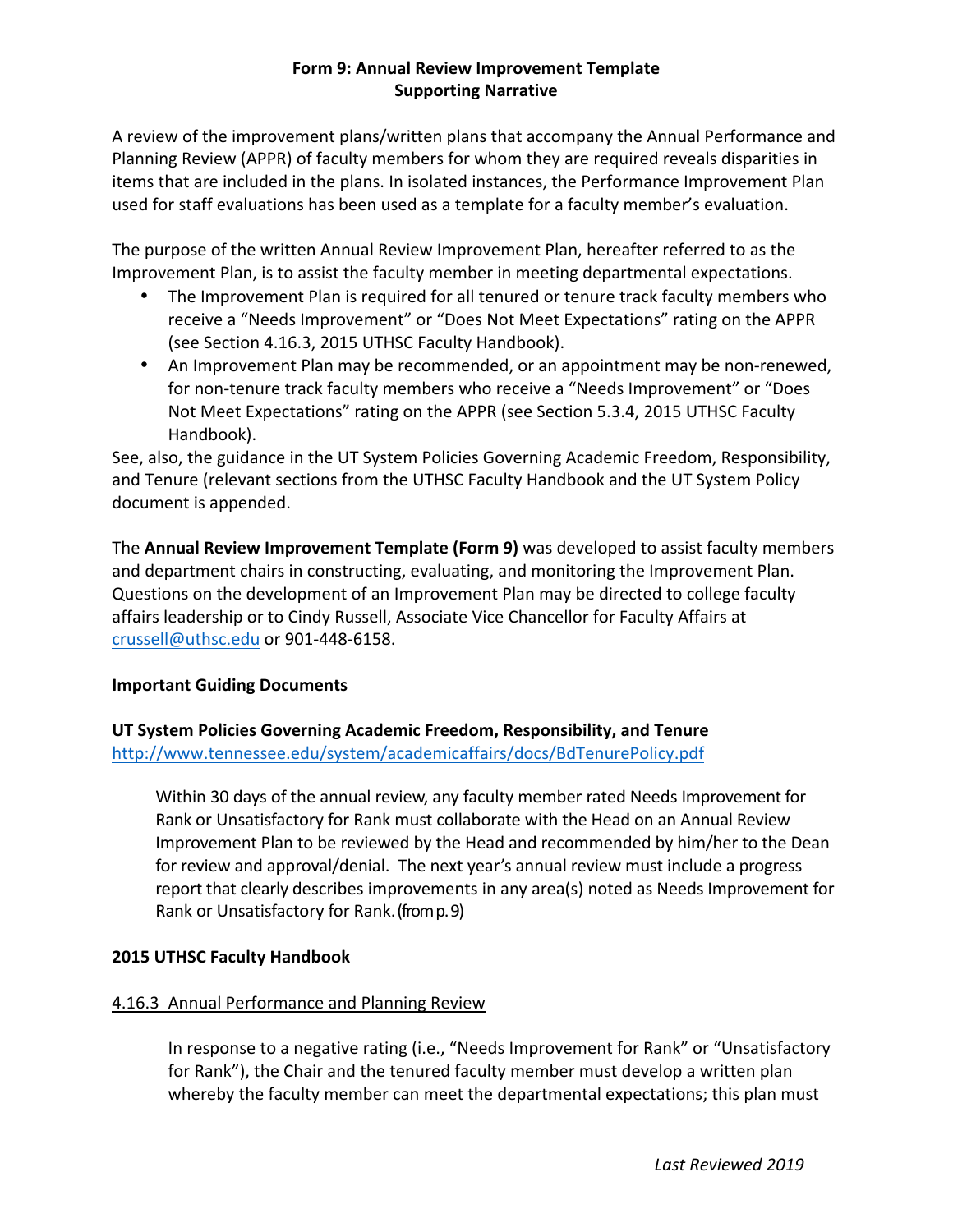# **Form 9: Annual Review Improvement Template Supporting Narrative**

A review of the improvement plans/written plans that accompany the Annual Performance and Planning Review (APPR) of faculty members for whom they are required reveals disparities in items that are included in the plans. In isolated instances, the Performance Improvement Plan used for staff evaluations has been used as a template for a faculty member's evaluation.

The purpose of the written Annual Review Improvement Plan, hereafter referred to as the Improvement Plan, is to assist the faculty member in meeting departmental expectations.

- The Improvement Plan is required for all tenured or tenure track faculty members who receive a "Needs Improvement" or "Does Not Meet Expectations" rating on the APPR (see Section 4.16.3, 2015 UTHSC Faculty Handbook).
- An Improvement Plan may be recommended, or an appointment may be non-renewed, for non-tenure track faculty members who receive a "Needs Improvement" or "Does Not Meet Expectations" rating on the APPR (see Section 5.3.4, 2015 UTHSC Faculty Handbook).

See, also, the guidance in the UT System Policies Governing Academic Freedom, Responsibility, and Tenure (relevant sections from the UTHSC Faculty Handbook and the UT System Policy document is appended.

The **Annual Review Improvement Template (Form 9)** was developed to assist faculty members and department chairs in constructing, evaluating, and monitoring the Improvement Plan. Questions on the development of an Improvement Plan may be directed to college faculty affairs leadership or to Cindy Russell, Associate Vice Chancellor for Faculty Affairs at crussell@uthsc.edu or 901-448-6158.

# **Important Guiding Documents**

UT System Policies Governing Academic Freedom, Responsibility, and Tenure http://www.tennessee.edu/system/academicaffairs/docs/BdTenurePolicy.pdf

Within 30 days of the annual review, any faculty member rated Needs Improvement for Rank or Unsatisfactory for Rank must collaborate with the Head on an Annual Review Improvement Plan to be reviewed by the Head and recommended by him/her to the Dean for review and approval/denial. The next year's annual review must include a progress report that clearly describes improvements in any area(s) noted as Needs Improvement for Rank or Unsatisfactory for Rank. (from p. 9)

# **2015 UTHSC Faculty Handbook**

# 4.16.3 Annual Performance and Planning Review

In response to a negative rating (i.e., "Needs Improvement for Rank" or "Unsatisfactory for Rank"), the Chair and the tenured faculty member must develop a written plan whereby the faculty member can meet the departmental expectations; this plan must